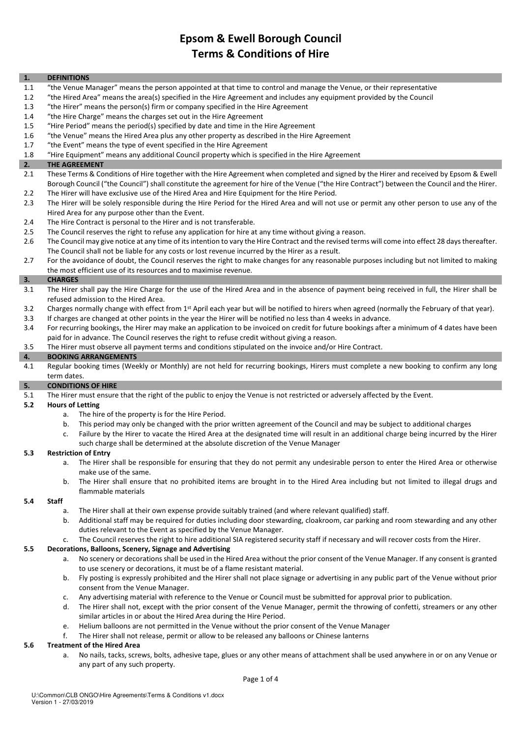### 1. DEFINITIONS

- 1.1 "the Venue Manager" means the person appointed at that time to control and manage the Venue, or their representative
- 1.2 "the Hired Area" means the area(s) specified in the Hire Agreement and includes any equipment provided by the Council
- 1.3 "the Hirer" means the person(s) firm or company specified in the Hire Agreement
- 1.4 "the Hire Charge" means the charges set out in the Hire Agreement
- 1.5 "Hire Period" means the period(s) specified by date and time in the Hire Agreement
- 1.6 "the Venue" means the Hired Area plus any other property as described in the Hire Agreement
- 1.7 "the Event" means the type of event specified in the Hire Agreement
- 1.8 "Hire Equipment" means any additional Council property which is specified in the Hire Agreement

### 2. THE AGREEMENT

- 2.1 These Terms & Conditions of Hire together with the Hire Agreement when completed and signed by the Hirer and received by Epsom & Ewell Borough Council ("the Council") shall constitute the agreement for hire of the Venue ("the Hire Contract") between the Council and the Hirer. 2.2 The Hirer will have exclusive use of the Hired Area and Hire Equipment for the Hire Period.
- 2.3 The Hirer will be solely responsible during the Hire Period for the Hired Area and will not use or permit any other person to use any of the Hired Area for any purpose other than the Event.
- 2.4 The Hire Contract is personal to the Hirer and is not transferable.
- 2.5 The Council reserves the right to refuse any application for hire at any time without giving a reason.
- 2.6 The Council may give notice at any time of its intention to vary the Hire Contract and the revised terms will come into effect 28 days thereafter. The Council shall not be liable for any costs or lost revenue incurred by the Hirer as a result.
- 2.7 For the avoidance of doubt, the Council reserves the right to make changes for any reasonable purposes including but not limited to making the most efficient use of its resources and to maximise revenue.

### 3. CHARGES

- 3.1 The Hirer shall pay the Hire Charge for the use of the Hired Area and in the absence of payment being received in full, the Hirer shall be refused admission to the Hired Area.
- 3.2 Charges normally change with effect from 1<sup>st</sup> April each year but will be notified to hirers when agreed (normally the February of that year).
- 3.3 If charges are changed at other points in the year the Hirer will be notified no less than 4 weeks in advance. 3.4 For recurring bookings, the Hirer may make an application to be invoiced on credit for future bookings after a minimum of 4 dates have been
- paid for in advance. The Council reserves the right to refuse credit without giving a reason.
- 3.5 The Hirer must observe all payment terms and conditions stipulated on the invoice and/or Hire Contract.

### 4. BOOKING ARRANGEMENTS

4.1 Regular booking times (Weekly or Monthly) are not held for recurring bookings, Hirers must complete a new booking to confirm any long term dates.

### 5. CONDITIONS OF HIRE

5.1 The Hirer must ensure that the right of the public to enjoy the Venue is not restricted or adversely affected by the Event.

### 5.2 Hours of Letting

- a. The hire of the property is for the Hire Period.
- b. This period may only be changed with the prior written agreement of the Council and may be subject to additional charges
- c. Failure by the Hirer to vacate the Hired Area at the designated time will result in an additional charge being incurred by the Hirer such charge shall be determined at the absolute discretion of the Venue Manager

## 5.3 Restriction of Entry

- a. The Hirer shall be responsible for ensuring that they do not permit any undesirable person to enter the Hired Area or otherwise make use of the same.
- b. The Hirer shall ensure that no prohibited items are brought in to the Hired Area including but not limited to illegal drugs and flammable materials

### 5.4 Staff

- a. The Hirer shall at their own expense provide suitably trained (and where relevant qualified) staff.
- b. Additional staff may be required for duties including door stewarding, cloakroom, car parking and room stewarding and any other duties relevant to the Event as specified by the Venue Manager.
- c. The Council reserves the right to hire additional SIA registered security staff if necessary and will recover costs from the Hirer.

### 5.5 Decorations, Balloons, Scenery, Signage and Advertising

- a. No scenery or decorations shall be used in the Hired Area without the prior consent of the Venue Manager. If any consent is granted to use scenery or decorations, it must be of a flame resistant material.
- b. Fly posting is expressly prohibited and the Hirer shall not place signage or advertising in any public part of the Venue without prior consent from the Venue Manager.
- c. Any advertising material with reference to the Venue or Council must be submitted for approval prior to publication.
- d. The Hirer shall not, except with the prior consent of the Venue Manager, permit the throwing of confetti, streamers or any other similar articles in or about the Hired Area during the Hire Period.
- e. Helium balloons are not permitted in the Venue without the prior consent of the Venue Manager
- f. The Hirer shall not release, permit or allow to be released any balloons or Chinese lanterns

### 5.6 Treatment of the Hired Area

 a. No nails, tacks, screws, bolts, adhesive tape, glues or any other means of attachment shall be used anywhere in or on any Venue or any part of any such property.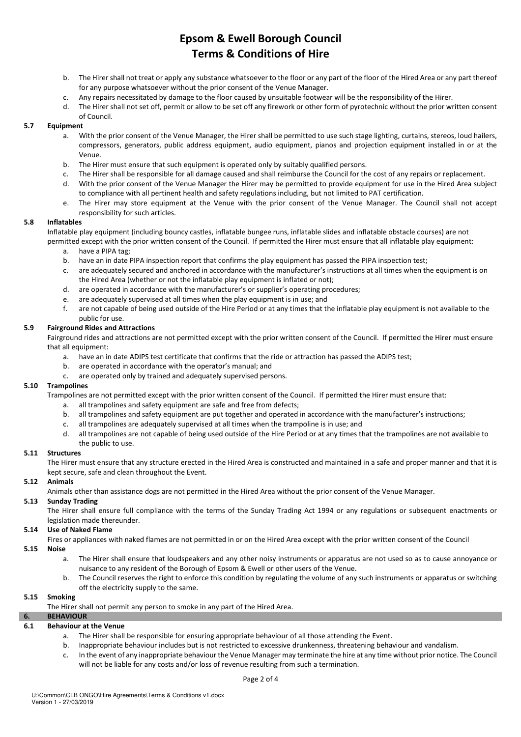- b. The Hirer shall not treat or apply any substance whatsoever to the floor or any part of the floor of the Hired Area or any part thereof for any purpose whatsoever without the prior consent of the Venue Manager.
- c. Any repairs necessitated by damage to the floor caused by unsuitable footwear will be the responsibility of the Hirer.
- d. The Hirer shall not set off, permit or allow to be set off any firework or other form of pyrotechnic without the prior written consent of Council.

# 5.7 Equipment

- a. With the prior consent of the Venue Manager, the Hirer shall be permitted to use such stage lighting, curtains, stereos, loud hailers, compressors, generators, public address equipment, audio equipment, pianos and projection equipment installed in or at the Venue.
- b. The Hirer must ensure that such equipment is operated only by suitably qualified persons.
- c. The Hirer shall be responsible for all damage caused and shall reimburse the Council for the cost of any repairs or replacement.
- d. With the prior consent of the Venue Manager the Hirer may be permitted to provide equipment for use in the Hired Area subject to compliance with all pertinent health and safety regulations including, but not limited to PAT certification.
- e. The Hirer may store equipment at the Venue with the prior consent of the Venue Manager. The Council shall not accept responsibility for such articles.

### 5.8 Inflatables

 Inflatable play equipment (including bouncy castles, inflatable bungee runs, inflatable slides and inflatable obstacle courses) are not permitted except with the prior written consent of the Council. If permitted the Hirer must ensure that all inflatable play equipment:

- a. have a PIPA tag;
- b. have an in date PIPA inspection report that confirms the play equipment has passed the PIPA inspection test;
- c. are adequately secured and anchored in accordance with the manufacturer's instructions at all times when the equipment is on the Hired Area (whether or not the inflatable play equipment is inflated or not);
- d. are operated in accordance with the manufacturer's or supplier's operating procedures;
- e. are adequately supervised at all times when the play equipment is in use; and
- f. are not capable of being used outside of the Hire Period or at any times that the inflatable play equipment is not available to the public for use.

### 5.9 Fairground Rides and Attractions

 Fairground rides and attractions are not permitted except with the prior written consent of the Council. If permitted the Hirer must ensure that all equipment:

- a. have an in date ADIPS test certificate that confirms that the ride or attraction has passed the ADIPS test;
- b. are operated in accordance with the operator's manual; and
- c. are operated only by trained and adequately supervised persons.

### 5.10 Trampolines

Trampolines are not permitted except with the prior written consent of the Council. If permitted the Hirer must ensure that:

- a. all trampolines and safety equipment are safe and free from defects;
- b. all trampolines and safety equipment are put together and operated in accordance with the manufacturer's instructions;
- c. all trampolines are adequately supervised at all times when the trampoline is in use; and
- d. all trampolines are not capable of being used outside of the Hire Period or at any times that the trampolines are not available to the public to use.

### 5.11 Structures

The Hirer must ensure that any structure erected in the Hired Area is constructed and maintained in a safe and proper manner and that it is kept secure, safe and clean throughout the Event.

### 5.12 Animals

Animals other than assistance dogs are not permitted in the Hired Area without the prior consent of the Venue Manager.

# 5.13 Sunday Trading

 The Hirer shall ensure full compliance with the terms of the Sunday Trading Act 1994 or any regulations or subsequent enactments or legislation made thereunder.

### 5.14 Use of Naked Flame

Fires or appliances with naked flames are not permitted in or on the Hired Area except with the prior written consent of the Council

### 5.15 Noise

- a. The Hirer shall ensure that loudspeakers and any other noisy instruments or apparatus are not used so as to cause annoyance or nuisance to any resident of the Borough of Epsom & Ewell or other users of the Venue.
- b. The Council reserves the right to enforce this condition by regulating the volume of any such instruments or apparatus or switching off the electricity supply to the same.

### 5.15 Smoking

The Hirer shall not permit any person to smoke in any part of the Hired Area.

### 6. BEHAVIOUR

## 6.1 Behaviour at the Venue

- a. The Hirer shall be responsible for ensuring appropriate behaviour of all those attending the Event.
- b. Inappropriate behaviour includes but is not restricted to excessive drunkenness, threatening behaviour and vandalism.
- c. In the event of any inappropriate behaviour the Venue Manager may terminate the hire at any time without prior notice. The Council will not be liable for any costs and/or loss of revenue resulting from such a termination.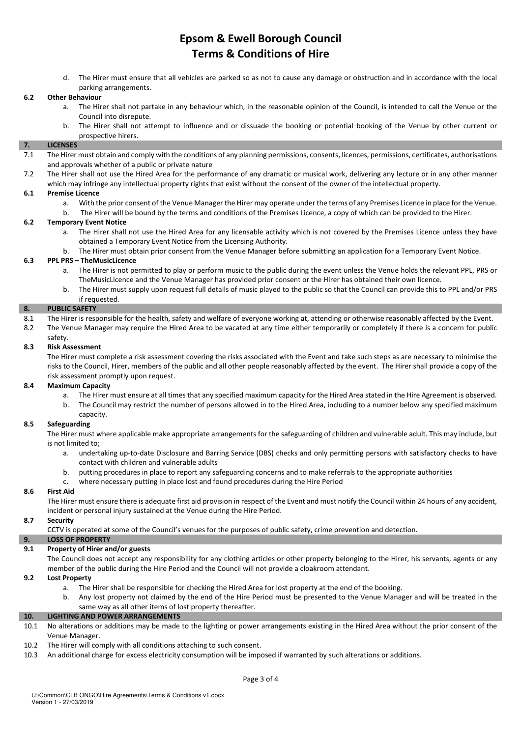d. The Hirer must ensure that all vehicles are parked so as not to cause any damage or obstruction and in accordance with the local parking arrangements.

### 6.2 Other Behaviour

- a. The Hirer shall not partake in any behaviour which, in the reasonable opinion of the Council, is intended to call the Venue or the Council into disrepute.
- b. The Hirer shall not attempt to influence and or dissuade the booking or potential booking of the Venue by other current or prospective hirers.

## 7. LICENSES

- 7.1 The Hirer must obtain and comply with the conditions of any planning permissions, consents, licences, permissions, certificates, authorisations and approvals whether of a public or private nature
- 7.2 The Hirer shall not use the Hired Area for the performance of any dramatic or musical work, delivering any lecture or in any other manner
	- which may infringe any intellectual property rights that exist without the consent of the owner of the intellectual property.

# 6.1 Premise Licence

- a. With the prior consent of the Venue Manager the Hirer may operate under the terms of any Premises Licence in place for the Venue.
- b. The Hirer will be bound by the terms and conditions of the Premises Licence, a copy of which can be provided to the Hirer.

# 6.2 Temporary Event Notice

- a. The Hirer shall not use the Hired Area for any licensable activity which is not covered by the Premises Licence unless they have obtained a Temporary Event Notice from the Licensing Authority.
- b. The Hirer must obtain prior consent from the Venue Manager before submitting an application for a Temporary Event Notice.

## 6.3 PPL PRS – TheMusicLicence

- a. The Hirer is not permitted to play or perform music to the public during the event unless the Venue holds the relevant PPL, PRS or TheMusicLicence and the Venue Manager has provided prior consent or the Hirer has obtained their own licence.
- b. The Hirer must supply upon request full details of music played to the public so that the Council can provide this to PPL and/or PRS if requested.

## 8. PUBLIC SAFETY

- 8.1 The Hirer is responsible for the health, safety and welfare of everyone working at, attending or otherwise reasonably affected by the Event.
- 8.2 The Venue Manager may require the Hired Area to be vacated at any time either temporarily or completely if there is a concern for public

#### safety. 8.3 Risk Assessment

 The Hirer must complete a risk assessment covering the risks associated with the Event and take such steps as are necessary to minimise the risks to the Council, Hirer, members of the public and all other people reasonably affected by the event. The Hirer shall provide a copy of the risk assessment promptly upon request.

### 8.4 Maximum Capacity

- a. The Hirer must ensure at all times that any specified maximum capacity for the Hired Area stated in the Hire Agreement is observed.
- b. The Council may restrict the number of persons allowed in to the Hired Area, including to a number below any specified maximum

#### capacity. 8.5 Safeguarding

 The Hirer must where applicable make appropriate arrangements for the safeguarding of children and vulnerable adult. This may include, but is not limited to;

- a. undertaking up-to-date Disclosure and Barring Service (DBS) checks and only permitting persons with satisfactory checks to have contact with children and vulnerable adults
- b. putting procedures in place to report any safeguarding concerns and to make referrals to the appropriate authorities
- c. where necessary putting in place lost and found procedures during the Hire Period

# 8.6 First Aid

 The Hirer must ensure there is adequate first aid provision in respect of the Event and must notify the Council within 24 hours of any accident, incident or personal injury sustained at the Venue during the Hire Period.

### 8.7 Security

CCTV is operated at some of the Council's venues for the purposes of public safety, crime prevention and detection.

# 9. LOSS OF PROPERTY

# 9.1 Property of Hirer and/or guests

 The Council does not accept any responsibility for any clothing articles or other property belonging to the Hirer, his servants, agents or any member of the public during the Hire Period and the Council will not provide a cloakroom attendant.

## 9.2 Lost Property

- a. The Hirer shall be responsible for checking the Hired Area for lost property at the end of the booking.
- b. Any lost property not claimed by the end of the Hire Period must be presented to the Venue Manager and will be treated in the same way as all other items of lost property thereafter.

### 10. LIGHTING AND POWER ARRANGEMENTS

- 10.1 No alterations or additions may be made to the lighting or power arrangements existing in the Hired Area without the prior consent of the Venue Manager.
- 10.2 The Hirer will comply with all conditions attaching to such consent.
- 10.3 An additional charge for excess electricity consumption will be imposed if warranted by such alterations or additions.